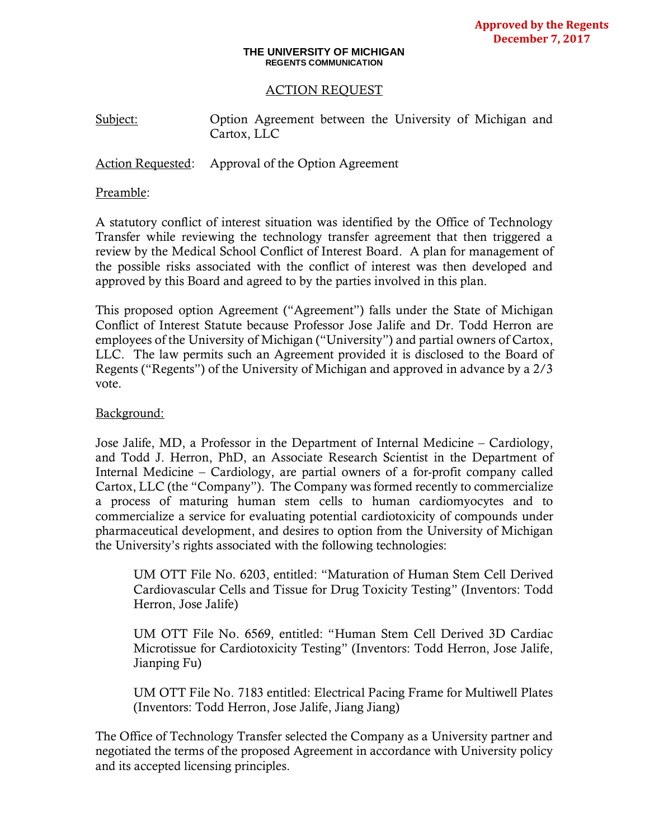#### **THE UNIVERSITY OF MICHIGAN REGENTS COMMUNICATION**

#### ACTION REQUEST

Subject: Option Agreement between the University of Michigan and Cartox, LLC

Action Requested: Approval of the Option Agreement

#### Preamble:

A statutory conflict of interest situation was identified by the Office of Technology Transfer while reviewing the technology transfer agreement that then triggered a review by the Medical School Conflict of Interest Board. A plan for management of the possible risks associated with the conflict of interest was then developed and approved by this Board and agreed to by the parties involved in this plan.

This proposed option Agreement ("Agreement") falls under the State of Michigan Conflict of Interest Statute because Professor Jose Jalife and Dr. Todd Herron are employees of the University of Michigan ("University") and partial owners of Cartox, LLC. The law permits such an Agreement provided it is disclosed to the Board of Regents ("Regents") of the University of Michigan and approved in advance by a 2/3 vote.

### Background:

Jose Jalife, MD, a Professor in the Department of Internal Medicine – Cardiology, and Todd J. Herron, PhD, an Associate Research Scientist in the Department of Internal Medicine – Cardiology, are partial owners of a for-profit company called Cartox, LLC (the "Company"). The Company was formed recently to commercialize a process of maturing human stem cells to human cardiomyocytes and to commercialize a service for evaluating potential cardiotoxicity of compounds under pharmaceutical development, and desires to option from the University of Michigan the University's rights associated with the following technologies:

UM OTT File No. 6203, entitled: "Maturation of Human Stem Cell Derived Cardiovascular Cells and Tissue for Drug Toxicity Testing" (Inventors: Todd Herron, Jose Jalife)

UM OTT File No. 6569, entitled: "Human Stem Cell Derived 3D Cardiac Microtissue for Cardiotoxicity Testing" (Inventors: Todd Herron, Jose Jalife, Jianping Fu)

UM OTT File No. 7183 entitled: Electrical Pacing Frame for Multiwell Plates (Inventors: Todd Herron, Jose Jalife, Jiang Jiang)

The Office of Technology Transfer selected the Company as a University partner and negotiated the terms of the proposed Agreement in accordance with University policy and its accepted licensing principles.